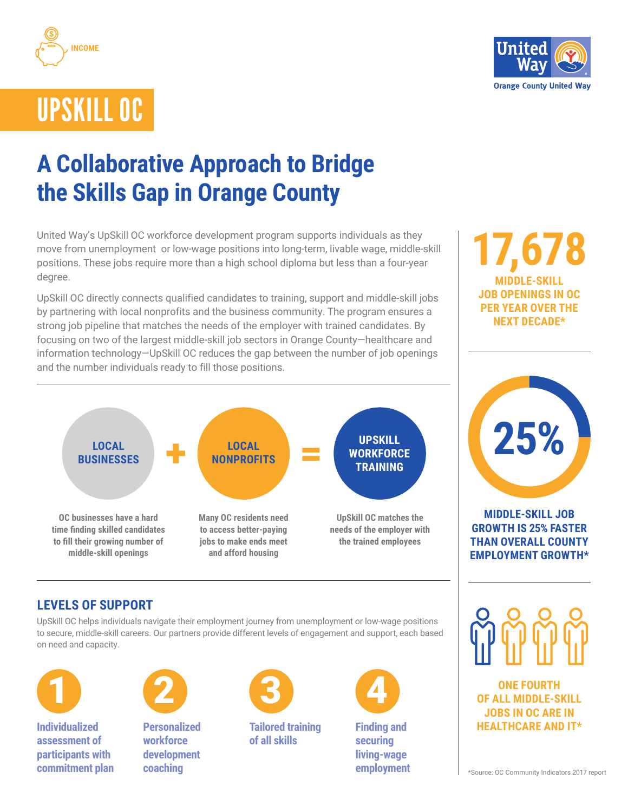



# UPSKILL OC

# **A Collaborative Approach to Bridge the Skills Gap in Orange County**

United Way's UpSkill OC workforce development program supports individuals as they move from unemployment or low-wage positions into long-term, livable wage, middle-skill positions. These jobs require more than a high school diploma but less than a four-year degree.

UpSkill OC directly connects qualified candidates to training, support and middle-skill jobs by partnering with local nonprofits and the business community. The program ensures a strong job pipeline that matches the needs of the employer with trained candidates. By focusing on two of the largest middle-skill job sectors in Orange County—healthcare and information technology—UpSkill OC reduces the gap between the number of job openings and the number individuals ready to fill those positions.



# **17,678 MIDDLE-SKILL JOB OPENINGS IN OC PER YEAR OVER THE NEXT DECADE\***



#### **MIDDLE-SKILL JOB GROWTH IS 25% FASTER THAN OVERALL COUNTY EMPLOYMENT GROWTH\***

## **LEVELS OF SUPPORT**

UpSkill OC helps individuals navigate their employment journey from unemployment or low-wage positions to secure, middle-skill careers. Our partners provide different levels of engagement and support, each based on need and capacity.



**Individualized assessment of participants with commitment plan**



**Personalized workforce development coaching**



**Tailored training of all skills**



**Finding and securing living-wage employment**



**ONE FOURTH OF ALL MIDDLE-SKILL JOBS IN OC ARE IN HEALTHCARE AND IT\***